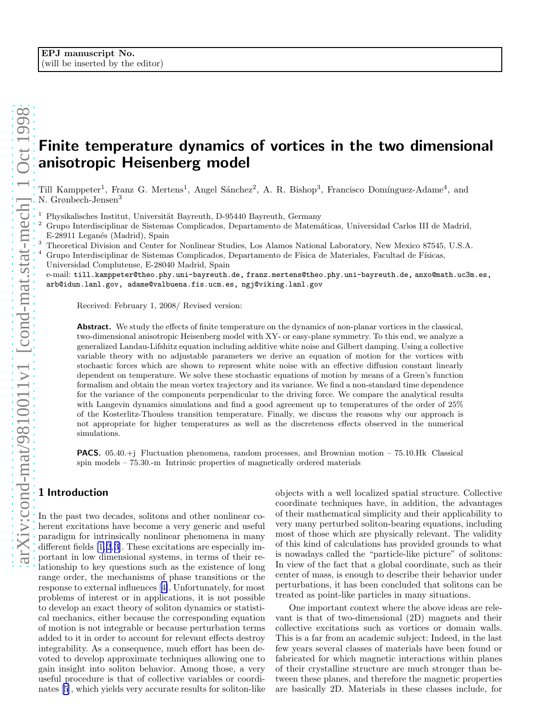# Finite temperature dynamics of vortices in the two dimensional anisotropic Heisenberg model

Till Kamppeter<sup>1</sup>, Franz G. Mertens<sup>1</sup>, Angel Sánchez<sup>2</sup>, A. R. Bishop<sup>3</sup>, Francisco Domínguez-Adame<sup>4</sup>, and N. Grønbech-Jensen<sup>3</sup>

Physikalisches Institut, Universität Bayreuth, D-95440 Bayreuth, Germany

<sup>2</sup> Grupo Interdisciplinar de Sistemas Complicados, Departamento de Matem´aticas, Universidad Carlos III de Madrid, E-28911 Leganés (Madrid), Spain

<sup>3</sup> Theoretical Division and Center for Nonlinear Studies, Los Alamos National Laboratory, New Mexico 87545, U.S.A.

Grupo Interdisciplinar de Sistemas Complicados, Departamento de Física de Materiales, Facultad de Físicas, Universidad Complutense, E-28040 Madrid, Spain

e-mail: till.kamppeter@theo.phy.uni-bayreuth.de, franz.mertens@theo.phy.uni-bayreuth.de, anxo@math.uc3m.es, arb@idun.lanl.gov, adame@valbuena.fis.ucm.es, ngj@viking.lanl.gov

Received: February 1, 2008/ Revised version:

Abstract. We study the effects of finite temperature on the dynamics of non-planar vortices in the classical, two-dimensional anisotropic Heisenberg model with XY- or easy-plane symmetry. To this end, we analyze a generalized Landau-Lifshitz equation including additive white noise and Gilbert damping. Using a collective variable theory with no adjustable parameters we derive an equation of motion for the vortices with stochastic forces which are shown to represent white noise with an effective diffusion constant linearly dependent on temperature. We solve these stochastic equations of motion by means of a Green's function formalism and obtain the mean vortex trajectory and its variance. We find a non-standard time dependence for the variance of the components perpendicular to the driving force. We compare the analytical results with Langevin dynamics simulations and find a good agreement up to temperatures of the order of 25% of the Kosterlitz-Thouless transition temperature. Finally, we discuss the reasons why our approach is not appropriate for higher temperatures as well as the discreteness effects observed in the numerical simulations.

**PACS.** 05.40. $+i$  Fluctuation phenomena, random processes, and Brownian motion – 75.10.Hk Classical spin models – 75.30.-m Intrinsic properties of magnetically ordered materials

# 1 Introduction

In the past two decades, solitons and other nonlinear coherent excitations have become a very generic and useful paradigm for intrinsically nonlinear phenomena in many different fields [\[1,2](#page-11-0),[3\]](#page-11-0). These excitations are especially important in low dimensional systems, in terms of their relationship to key questions such as the existence of long range order, the mechanisms of phase transitions or the response to external influences[[4\]](#page-11-0). Unfortunately, for most problems of interest or in applications, it is not possible to develop an exact theory of soliton dynamics or statistical mechanics, either because the corresponding equation of motion is not integrable or because perturbation terms added to it in order to account for relevant effects destroy integrability. As a consequence, much effort has been devoted to develop approximate techniques allowing one to gain insight into soliton behavior. Among those, a very useful procedure is that of collective variables or coordinates [\[5](#page-11-0)], which yields very accurate results for soliton-like objects with a well localized spatial structure. Collective coordinate techniques have, in addition, the advantages of their mathematical simplicity and their applicability to very many perturbed soliton-bearing equations, including most of those which are physically relevant. The validity of this kind of calculations has provided grounds to what is nowadays called the "particle-like picture" of solitons: In view of the fact that a global coordinate, such as their center of mass, is enough to describe their behavior under perturbations, it has been concluded that solitons can be treated as point-like particles in many situations.

One important context where the above ideas are relevant is that of two-dimensional (2D) magnets and their collective excitations such as vortices or domain walls. This is a far from an academic subject: Indeed, in the last few years several classes of materials have been found or fabricated for which magnetic interactions within planes of their crystalline structure are much stronger than between these planes, and therefore the magnetic properties are basically 2D. Materials in these classes include, for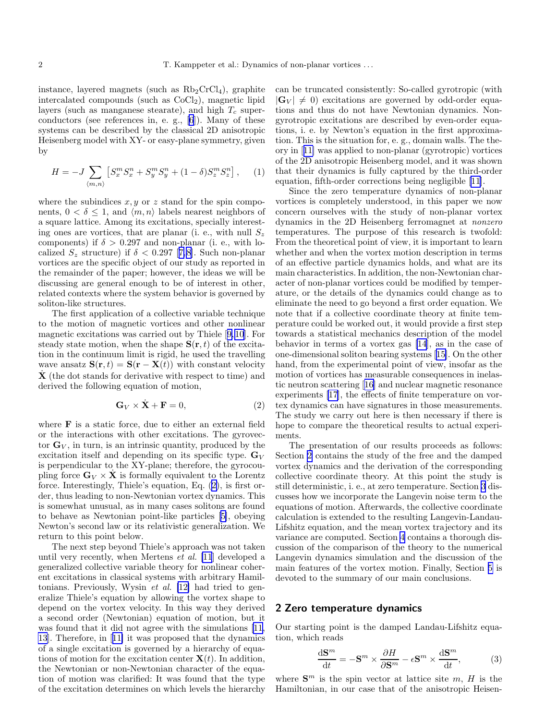<span id="page-1-0"></span>instance, layered magnets (such as  $Rb_2CrCl<sub>4</sub>$ ), graphite intercalated compounds (such as  $CoCl<sub>2</sub>$ ), magnetic lipid layers (such as manganese stearate), and high  $T_c$  superconductors (see references in, e. g., [\[6](#page-11-0)]). Many of these systems can be described by the classical 2D anisotropic Heisenberg model with XY- or easy-plane symmetry, given by

$$
H = -J \sum_{\langle m,n \rangle} \left[ S_x^m S_x^n + S_y^m S_y^n + (1 - \delta) S_z^m S_z^n \right], \quad (1)
$$

where the subindices  $x, y$  or z stand for the spin components,  $0 < \delta \leq 1$ , and  $\langle m, n \rangle$  labels nearest neighbors of a square lattice. Among its excitations, specially interesting ones are vortices, that are planar (i. e., with null  $S_z$ components) if  $\delta > 0.297$  and non-planar (i. e., with lo-calized $S_z$  structure) if  $\delta < 0.297$  [[7,8](#page-11-0)]. Such non-planar vortices are the specific object of our study as reported in the remainder of the paper; however, the ideas we will be discussing are general enough to be of interest in other, related contexts where the system behavior is governed by soliton-like structures.

The first application of a collective variable technique to the motion of magnetic vortices and other nonlinear magnetic excitations was carried out by Thiele[[9,10](#page-11-0)]. For steady state motion, when the shape  $S(r, t)$  of the excitation in the continuum limit is rigid, he used the travelling wave ansatz  $\mathbf{S}(\mathbf{r},t) = \mathbf{S}(\mathbf{r} - \mathbf{X}(t))$  with constant velocity  $\dot{\mathbf{X}}$  (the dot stands for derivative with respect to time) and derived the following equation of motion,

$$
\mathbf{G}_V \times \dot{\mathbf{X}} + \mathbf{F} = 0,\tag{2}
$$

where F is a static force, due to either an external field or the interactions with other excitations. The gyrovector  $\mathbf{G}_V$ , in turn, is an intrinsic quantity, produced by the excitation itself and depending on its specific type.  $\mathbf{G}_V$ is perpendicular to the XY-plane; therefore, the gyrocoupling force  $\mathbf{G}_V \times \mathbf{X}$  is formally equivalent to the Lorentz force. Interestingly, Thiele's equation, Eq. (2), is first order, thus leading to non-Newtonian vortex dynamics. This is somewhat unusual, as in many cases solitons are found to behave as Newtonian point-like particles[[5\]](#page-11-0), obeying Newton's second law or its relativistic generalization. We return to this point below.

The next step beyond Thiele's approach was not taken until very recently, when Mertens et al. [\[11](#page-11-0)] developed a generalized collective variable theory for nonlinear coherent excitations in classical systems with arbitrary Hamiltonians. Previously, Wysin et al. [\[12\]](#page-11-0) had tried to generalize Thiele's equation by allowing the vortex shape to depend on the vortex velocity. In this way they derived a second order (Newtonian) equation of motion, but it was found that it did not agree with the simulations[[11,](#page-11-0) [13](#page-11-0)]. Therefore, in[[11\]](#page-11-0) it was proposed that the dynamics of a single excitation is governed by a hierarchy of equations of motion for the excitation center  $\mathbf{X}(t)$ . In addition, the Newtonian or non-Newtonian character of the equation of motion was clarified: It was found that the type of the excitation determines on which levels the hierarchy

can be truncated consistently: So-called gyrotropic (with  $|\mathbf{G}_V| \neq 0$  excitations are governed by odd-order equations and thus do not have Newtonian dynamics. Nongyrotropic excitations are described by even-order equations, i. e. by Newton's equation in the first approximation. This is the situation for, e. g., domain walls. The theory in[[11\]](#page-11-0) was applied to non-planar (gyrotropic) vortices of the 2D anisotropic Heisenberg model, and it was shown that their dynamics is fully captured by the third-order equation, fifth-order corrections being negligible [\[11](#page-11-0)].

Since the zero temperature dynamics of non-planar vortices is completely understood, in this paper we now concern ourselves with the study of non-planar vortex dynamics in the 2D Heisenberg ferromagnet at nonzero temperatures. The purpose of this research is twofold: From the theoretical point of view, it is important to learn whether and when the vortex motion description in terms of an effective particle dynamics holds, and what are its main characteristics. In addition, the non-Newtonian character of non-planar vortices could be modified by temperature, or the details of the dynamics could change as to eliminate the need to go beyond a first order equation. We note that if a collective coordinate theory at finite temperature could be worked out, it would provide a first step towards a statistical mechanics description of the model behavior in terms of a vortex gas [\[14](#page-11-0)], as in the case of one-dimensional soliton bearing systems[[15\]](#page-11-0). On the other hand, from the experimental point of view, insofar as the motion of vortices has measurable consequences in inelastic neutron scattering[[16\]](#page-11-0) and nuclear magnetic resonance experiments [\[17](#page-11-0)], the effects of finite temperature on vortex dynamics can have signatures in those measurements. The study we carry out here is then necessary if there is hope to compare the theoretical results to actual experiments.

The presentation of our results proceeds as follows: Section 2 contains the study of the free and the damped vortex dynamics and the derivation of the corresponding collective coordinate theory. At this point the study is still deterministic, i. e., at zero temperature. Section [3](#page-4-0) discusses how we incorporate the Langevin noise term to the equations of motion. Afterwards, the collective coordinate calculation is extended to the resulting Langevin-Landau-Lifshitz equation, and the mean vortex trajectory and its variance are computed. Section [4](#page-7-0) contains a thorough discussion of the comparison of the theory to the numerical Langevin dynamics simulation and the discussion of the main features of the vortex motion. Finally, Section [5](#page-10-0) is devoted to the summary of our main conclusions.

#### 2 Zero temperature dynamics

Our starting point is the damped Landau-Lifshitz equation, which reads

$$
\frac{\mathrm{d}\mathbf{S}^m}{\mathrm{d}t} = -\mathbf{S}^m \times \frac{\partial H}{\partial \mathbf{S}^m} - \epsilon \mathbf{S}^m \times \frac{\mathrm{d}\mathbf{S}^m}{\mathrm{d}t},\tag{3}
$$

where  $S<sup>m</sup>$  is the spin vector at lattice site m, H is the Hamiltonian, in our case that of the anisotropic Heisen-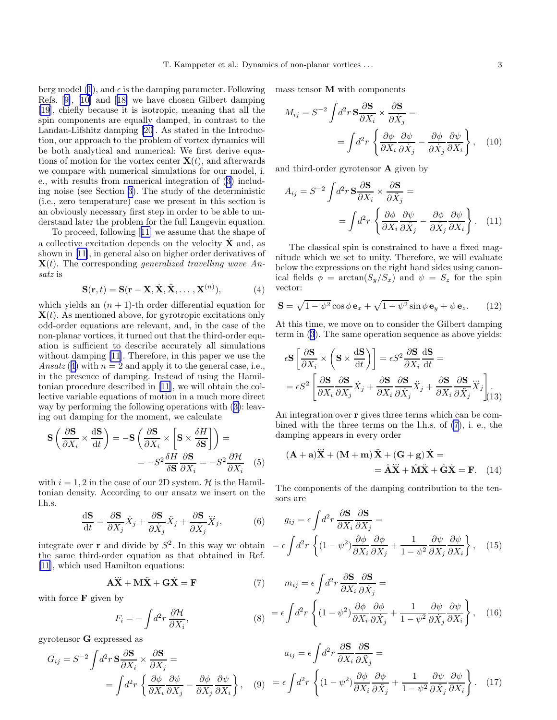<span id="page-2-0"></span>berg model [\(1](#page-1-0)), and  $\epsilon$  is the damping parameter. Following Refs.[[9\]](#page-11-0), [\[10](#page-11-0)] and[[18\]](#page-11-0) we have chosen Gilbert damping [[19\]](#page-11-0), chiefly because it is isotropic, meaning that all the spin components are equally damped, in contrast to the Landau-Lifshitz damping [\[20](#page-11-0)]. As stated in the Introduction, our approach to the problem of vortex dynamics will be both analytical and numerical: We first derive equations of motion for the vortex center  $\mathbf{X}(t)$ , and afterwards we compare with numerical simulations for our model, i. e., with results from numerical integration of ([3\)](#page-1-0) including noise (see Section [3\)](#page-4-0). The study of the deterministic (i.e., zero temperature) case we present in this section is an obviously necessary first step in order to be able to understand later the problem for the full Langevin equation.

To proceed, following[[11\]](#page-11-0) we assume that the shape of a collective excitation depends on the velocity  $\dot{\mathbf{X}}$  and, as shown in [\[11](#page-11-0)], in general also on higher order derivatives of  $\mathbf{X}(t)$ . The corresponding generalized travelling wave Ansatz is

$$
\mathbf{S}(\mathbf{r},t) = \mathbf{S}(\mathbf{r} - \mathbf{X}, \dot{\mathbf{X}}, \ddot{\mathbf{X}}, \dots, \mathbf{X}^{(n)}),
$$
 (4)

which yields an  $(n + 1)$ -th order differential equation for  $\mathbf{X}(t)$ . As mentioned above, for gyrotropic excitations only odd-order equations are relevant, and, in the case of the non-planar vortices, it turned out that the third-order equation is sufficient to describe accurately all simulations without damping [\[11](#page-11-0)]. Therefore, in this paper we use the Ansatz (4) with  $n = 2$  and apply it to the general case, i.e., in the presence of damping. Instead of using the Hamiltonian procedure described in[[11\]](#page-11-0), we will obtain the collective variable equations of motion in a much more direct way by performing the following operations with ([3\)](#page-1-0): leaving out damping for the moment, we calculate

$$
\mathbf{S} \left( \frac{\partial \mathbf{S}}{\partial X_i} \times \frac{\mathrm{d} \mathbf{S}}{\mathrm{d} t} \right) = -\mathbf{S} \left( \frac{\partial \mathbf{S}}{\partial X_i} \times \left[ \mathbf{S} \times \frac{\delta H}{\delta \mathbf{S}} \right] \right) =
$$

$$
= -S^2 \frac{\delta H}{\delta \mathbf{S}} \frac{\partial \mathbf{S}}{\partial X_i} = -S^2 \frac{\partial H}{\partial X_i} \quad (5)
$$

with  $i = 1, 2$  in the case of our 2D system. H is the Hamiltonian density. According to our ansatz we insert on the l.h.s.

$$
\frac{\mathrm{d}\mathbf{S}}{\mathrm{d}t} = \frac{\partial \mathbf{S}}{\partial X_j} \dot{X}_j + \frac{\partial \mathbf{S}}{\partial \dot{X}_j} \ddot{X}_j + \frac{\partial \mathbf{S}}{\partial \ddot{X}_j} \dddot{X}_j,\tag{6}
$$

integrate over **r** and divide by  $S^2$ . In this way we obtain  $= \epsilon$ the same third-order equation as that obtained in Ref. [[11\]](#page-11-0), which used Hamilton equations:

$$
\mathbf{A}\ddot{\mathbf{X}} + \mathbf{M}\ddot{\mathbf{X}} + \mathbf{G}\dot{\mathbf{X}} = \mathbf{F} \tag{7}
$$

with force  $\bf{F}$  given by

$$
F_i = -\int d^2r \frac{\partial \mathcal{H}}{\partial X_i},
$$
\n
$$
(8) = \epsilon \int d^2r \left\{ (1 - \psi^2) \frac{\partial \phi}{\partial X_i} \frac{\partial \phi}{\partial X_j} + \frac{1}{1 - \psi^2} \frac{\partial \phi}{\partial X_j} \frac{\partial \phi}{\partial X_i} \right\}
$$

gyrotensor G expressed as

$$
G_{ij} = S^{-2} \int d^2 r \, \mathbf{S} \frac{\partial \mathbf{S}}{\partial X_i} \times \frac{\partial \mathbf{S}}{\partial X_j} =
$$
\n
$$
= \int d^2 r \, \left\{ \frac{\partial \phi}{\partial X_i} \frac{\partial \psi}{\partial X_j} - \frac{\partial \phi}{\partial X_j} \frac{\partial \psi}{\partial X_i} \right\}, \quad (9) = \epsilon \int d^2 r \, \left\{ (1 - \psi^2) \frac{\partial \phi}{\partial X_i} \frac{\partial \phi}{\partial X_j} + \frac{1}{1 - \psi^2} \frac{\partial \psi}{\partial X_j} \frac{\partial \psi}{\partial X_i} \right\}. \quad (17)
$$

mass tensor M with components

$$
M_{ij} = S^{-2} \int d^2 r \, \mathbf{S} \frac{\partial \mathbf{S}}{\partial X_i} \times \frac{\partial \mathbf{S}}{\partial \dot{X}_j} =
$$
  
= 
$$
\int d^2 r \left\{ \frac{\partial \phi}{\partial X_i} \frac{\partial \psi}{\partial \dot{X}_j} - \frac{\partial \phi}{\partial \dot{X}_j} \frac{\partial \psi}{\partial X_i} \right\}, \quad (10)
$$

and third-order gyrotensor A given by

$$
A_{ij} = S^{-2} \int d^2 r \, \mathbf{S} \frac{\partial \mathbf{S}}{\partial X_i} \times \frac{\partial \mathbf{S}}{\partial \ddot{X}_j} =
$$
  
= 
$$
\int d^2 r \left\{ \frac{\partial \phi}{\partial X_i} \frac{\partial \psi}{\partial \ddot{X}_j} - \frac{\partial \phi}{\partial \ddot{X}_j} \frac{\partial \psi}{\partial X_i} \right\}.
$$
 (11)

The classical spin is constrained to have a fixed magnitude which we set to unity. Therefore, we will evaluate below the expressions on the right hand sides using canonical fields  $\phi = \arctan(S_y/S_x)$  and  $\psi = S_z$  for the spin vector:

$$
\mathbf{S} = \sqrt{1 - \psi^2} \cos \phi \,\mathbf{e}_x + \sqrt{1 - \psi^2} \sin \phi \,\mathbf{e}_y + \psi \,\mathbf{e}_z. \tag{12}
$$

At this time, we move on to consider the Gilbert damping term in [\(3](#page-1-0)). The same operation sequence as above yields:

$$
\epsilon S \left[ \frac{\partial S}{\partial X_i} \times \left( S \times \frac{dS}{dt} \right) \right] = \epsilon S^2 \frac{\partial S}{\partial X_i} \frac{dS}{dt} =
$$
  
=  $\epsilon S^2 \left[ \frac{\partial S}{\partial X_i} \frac{\partial S}{\partial X_j} \dot{X}_j + \frac{\partial S}{\partial X_i} \frac{\partial S}{\partial \dot{X}_j} \ddot{X}_j + \frac{\partial S}{\partial X_i} \frac{\partial S}{\partial \ddot{X}_j} \dddot{X}_j \right]_{(13)}$ 

An integration over r gives three terms which can be combined with the three terms on the l.h.s. of (7), i. e., the damping appears in every order

$$
(\mathbf{A} + \mathbf{a})\ddot{\mathbf{X}} + (\mathbf{M} + \mathbf{m})\ddot{\mathbf{X}} + (\mathbf{G} + \mathbf{g})\dot{\mathbf{X}} =
$$
  
=  $\hat{\mathbf{A}}\ddot{\mathbf{X}} + \hat{\mathbf{M}}\ddot{\mathbf{X}} + \hat{\mathbf{G}}\dot{\mathbf{X}} = \mathbf{F}.$  (14)

The components of the damping contribution to the tensors are

$$
g_{ij} = \epsilon \int d^2 r \frac{\partial \mathbf{S}}{\partial X_i} \frac{\partial \mathbf{S}}{\partial X_j} =
$$

$$
= \epsilon \int d^2 r \left\{ (1 - \psi^2) \frac{\partial \phi}{\partial X_i} \frac{\partial \phi}{\partial X_j} + \frac{1}{1 - \psi^2} \frac{\partial \psi}{\partial X_j} \frac{\partial \psi}{\partial X_i} \right\}, \quad (15)
$$

$$
m_{ij} = \epsilon \int d^2 r \frac{\partial \mathbf{S}}{\partial X_i} \frac{\partial \mathbf{S}}{\partial \dot{X}_j} =
$$
  

$$
= \epsilon \int d^2 r \left\{ (1 - \psi^2) \frac{\partial \phi}{\partial X_i} \frac{\partial \phi}{\partial \dot{X}_j} + \frac{1}{1 - \psi^2} \frac{\partial \psi}{\partial \dot{X}_j} \frac{\partial \psi}{\partial X_i} \right\}, \quad (16)
$$

ag

∂S

⊇∩

ລ⊄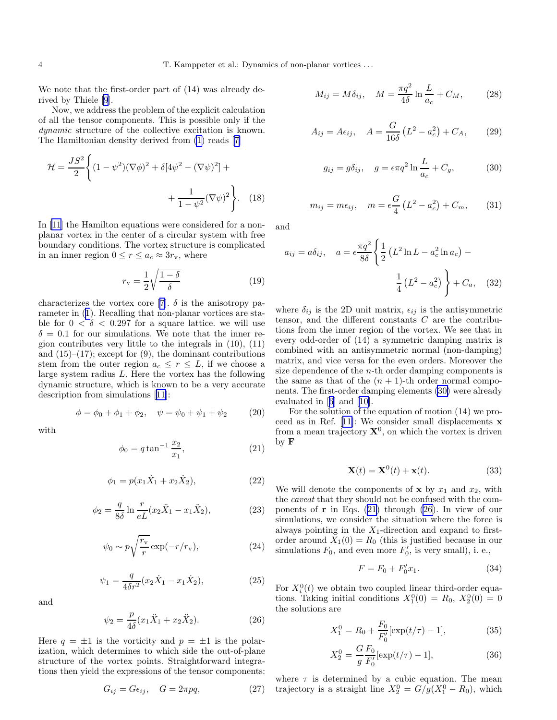<span id="page-3-0"></span>We note that the first-order part of (14) was already derived by Thiele [\[9](#page-11-0)].

Now, we address the problem of the explicit calculation of all the tensor components. This is possible only if the dynamic structure of the collective excitation is known. The Hamiltonian density derived from [\(1\)](#page-1-0) reads[[7\]](#page-11-0)

$$
\mathcal{H} = \frac{JS^2}{2} \left\{ (1 - \psi^2)(\nabla \phi)^2 + \delta [4\psi^2 - (\nabla \psi)^2] + \frac{1}{1 - \psi^2} (\nabla \psi)^2 \right\}.
$$
 (18)

In [\[11](#page-11-0)] the Hamilton equations were considered for a nonplanar vortex in the center of a circular system with free boundary conditions. The vortex structure is complicated in an inner region  $0 \le r \le a_c \approx 3r_v$ , where

$$
r_{\rm v} = \frac{1}{2} \sqrt{\frac{1 - \delta}{\delta}}\tag{19}
$$

characterizesthe vortex core [[7\]](#page-11-0).  $\delta$  is the anisotropy parameter in ([1](#page-1-0)). Recalling that non-planar vortices are stable for  $0 < \delta < 0.297$  for a square lattice. we will use  $\delta = 0.1$  for our simulations. We note that the inner region contributes very little to the integrals in (10), (11) and  $(15)$ – $(17)$ ; except for  $(9)$ , the dominant contributions stem from the outer region  $a_c \leq r \leq L$ , if we choose a large system radius L. Here the vortex has the following dynamic structure, which is known to be a very accurate description from simulations[[11\]](#page-11-0):

$$
\phi = \phi_0 + \phi_1 + \phi_2, \quad \psi = \psi_0 + \psi_1 + \psi_2 \quad (20)
$$

with

$$
\phi_0 = q \tan^{-1} \frac{x_2}{x_1},\tag{21}
$$

$$
\phi_1 = p(x_1 \dot{X}_1 + x_2 \dot{X}_2), \tag{22}
$$

$$
\phi_2 = \frac{q}{8\delta} \ln \frac{r}{eL} (x_2 \ddot{X}_1 - x_1 \ddot{X}_2),
$$
 (23)

$$
\psi_0 \sim p \sqrt{\frac{r_{\rm v}}{r}} \exp(-r/r_{\rm v}),\tag{24}
$$

$$
\psi_1 = \frac{q}{4\delta r^2} (x_2 \dot{X}_1 - x_1 \dot{X}_2), \tag{25}
$$

and

$$
\psi_2 = \frac{p}{4\delta}(x_1 \ddot{X}_1 + x_2 \ddot{X}_2). \tag{26}
$$

Here  $q = \pm 1$  is the vorticity and  $p = \pm 1$  is the polarization, which determines to which side the out-of-plane structure of the vortex points. Straightforward integrations then yield the expressions of the tensor components:

$$
G_{ij} = G\epsilon_{ij}, \quad G = 2\pi pq, \tag{27}
$$

$$
M_{ij} = M\delta_{ij}, \quad M = \frac{\pi q^2}{4\delta} \ln \frac{L}{a_c} + C_M, \quad (28)
$$

$$
A_{ij} = A\epsilon_{ij}, \quad A = \frac{G}{16\delta} (L^2 - a_c^2) + C_A,
$$
 (29)

$$
g_{ij} = g\delta_{ij}, \quad g = \epsilon \pi q^2 \ln \frac{L}{a_c} + C_g, \tag{30}
$$

$$
m_{ij} = m\epsilon_{ij}, \quad m = \epsilon \frac{G}{4} (L^2 - a_c^2) + C_m,
$$
 (31)

and

$$
a_{ij} = a\delta_{ij}, \quad a = \epsilon \frac{\pi q^2}{8\delta} \left\{ \frac{1}{2} \left( L^2 \ln L - a_c^2 \ln a_c \right) - \frac{1}{4} \left( L^2 - a_c^2 \right) \right\} + C_a, \quad (32)
$$

where  $\delta_{ij}$  is the 2D unit matrix,  $\epsilon_{ij}$  is the antisymmetric tensor, and the different constants  $C$  are the contributions from the inner region of the vortex. We see that in every odd-order of (14) a symmetric damping matrix is combined with an antisymmetric normal (non-damping) matrix, and vice versa for the even orders. Moreover the size dependence of the n-th order damping components is the same as that of the  $(n + 1)$ -th order normal components. The first-order damping elements (30) were already evaluated in[[6\]](#page-11-0) and[[10](#page-11-0)].

For the solution of the equation of motion (14) we proceed as in Ref.[[11\]](#page-11-0): We consider small displacements x from a mean trajectory  $X^0$ , on which the vortex is driven by F

$$
\mathbf{X}(t) = \mathbf{X}^0(t) + \mathbf{x}(t). \tag{33}
$$

We will denote the components of  $x$  by  $x_1$  and  $x_2$ , with the caveat that they should not be confused with the components of  $\mathbf r$  in Eqs. (21) through (26). In view of our simulations, we consider the situation where the force is always pointing in the  $X_1$ -direction and expand to firstorder around  $X_1(0) = R_0$  (this is justified because in our simulations  $F_0$ , and even more  $F'_0$ , is very small), i. e.,

$$
F = F_0 + F'_0 x_1.
$$
 (34)

For  $X_i^0(t)$  we obtain two coupled linear third-order equations. Taking initial conditions  $X_1^0(0) = R_0, X_2^0(0) = 0$ the solutions are

$$
X_1^0 = R_0 + \frac{F_0}{F'_0} [\exp(t/\tau) - 1], \tag{35}
$$

$$
X_2^0 = \frac{G F_0}{g F_0'} [\exp(t/\tau) - 1], \tag{36}
$$

where  $\tau$  is determined by a cubic equation. The mean trajectory is a straight line  $X_2^0 = G/g(X_1^0 - R_0)$ , which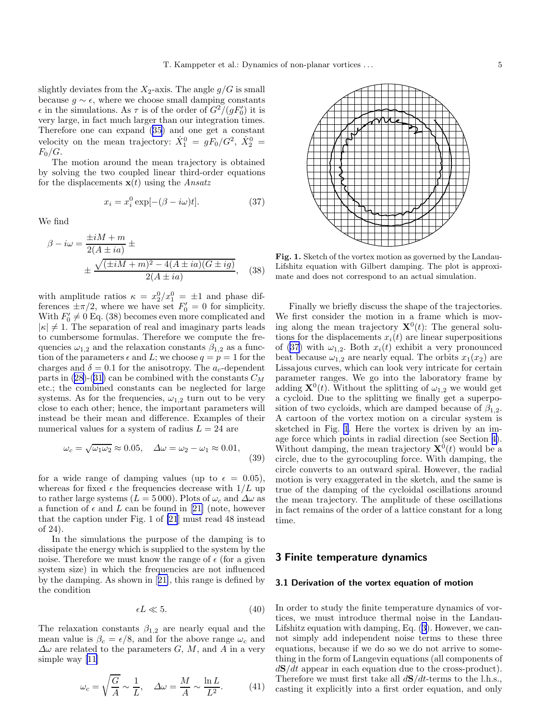<span id="page-4-0"></span>slightly deviates from the  $X_2$ -axis. The angle  $g/G$  is small because  $g \sim \epsilon$ , where we choose small damping constants  $\epsilon$  in the simulations. As  $\tau$  is of the order of  $G^2/(gF'_0)$  it is very large, in fact much larger than our integration times. Therefore one can expand ([35\)](#page-3-0) and one get a constant velocity on the mean trajectory:  $\dot{X}_1^0 = gF_0/G^2$ ,  $\dot{X}_2^0 =$  $F_0/G$ .

The motion around the mean trajectory is obtained by solving the two coupled linear third-order equations for the displacements  $\mathbf{x}(t)$  using the *Ansatz* 

$$
x_i = x_i^0 \exp[-(\beta - i\omega)t].
$$
 (37)

We find

$$
\beta - i\omega = \frac{\pm iM + m}{2(A \pm ia)} \pm
$$
  

$$
\pm \frac{\sqrt{(\pm iM + m)^2 - 4(A \pm ia)(G \pm ig)}}{2(A \pm ia)},
$$
 (38)

with amplitude ratios  $\kappa = x_2^0/x_1^0 = \pm 1$  and phase differences  $\pm \pi/2$ , where we have set  $F'_0 = 0$  for simplicity. With  $F'_0 \neq 0$  Eq. (38) becomes even more complicated and  $|\kappa| \neq 1$ . The separation of real and imaginary parts leads to cumbersome formulas. Therefore we compute the frequencies  $\omega_{1,2}$  and the relaxation constants  $\beta_{1,2}$  as a function of the parameters  $\epsilon$  and L; we choose  $q = p = 1$  for the charges and  $\delta = 0.1$  for the anisotropy. The  $a_c$ -dependent parts in ([28\)](#page-3-0)-([31\)](#page-3-0) can be combined with the constants  $C_M$ etc.; the combined constants can be neglected for large systems. As for the frequencies,  $\omega_{1,2}$  turn out to be very close to each other; hence, the important parameters will instead be their mean and difference. Examples of their numerical values for a system of radius  $L = 24$  are

$$
\omega_c = \sqrt{\omega_1 \omega_2} \approx 0.05, \quad \Delta \omega = \omega_2 - \omega_1 \approx 0.01,
$$
\n(39)

for a wide range of damping values (up to  $\epsilon = 0.05$ ), whereas for fixed  $\epsilon$  the frequencies decrease with  $1/L$  up to rather large systems ( $L = 5000$ ). Plots of  $\omega_c$  and  $\Delta \omega$  as afunction of  $\epsilon$  and L can be found in [[21\]](#page-11-0) (note, however that the caption under Fig. 1 of [\[21](#page-11-0)] must read 48 instead of 24).

In the simulations the purpose of the damping is to dissipate the energy which is supplied to the system by the noise. Therefore we must know the range of  $\epsilon$  (for a given system size) in which the frequencies are not influenced by the damping. As shown in[[21\]](#page-11-0), this range is defined by the condition

$$
\epsilon L \ll 5. \tag{40}
$$

The relaxation constants  $\beta_{1,2}$  are nearly equal and the mean value is  $\beta_c = \epsilon/8$ , and for the above range  $\omega_c$  and  $\Delta\omega$  are related to the parameters G, M, and A in a very simple way [\[11](#page-11-0)]

$$
\omega_c = \sqrt{\frac{G}{A}} \sim \frac{1}{L}, \quad \Delta \omega = \frac{M}{A} \sim \frac{\ln L}{L^2}.
$$
 (41)



Fig. 1. Sketch of the vortex motion as governed by the Landau-Lifshitz equation with Gilbert damping. The plot is approximate and does not correspond to an actual simulation.

Finally we briefly discuss the shape of the trajectories. We first consider the motion in a frame which is moving along the mean trajectory  $\mathbf{X}^{0}(t)$ : The general solutions for the displacements  $x_i(t)$  are linear superpositions of (37) with  $\omega_{1,2}$ . Both  $x_i(t)$  exhibit a very pronounced beat because  $\omega_{1,2}$  are nearly equal. The orbits  $x_1(x_2)$  are Lissajous curves, which can look very intricate for certain parameter ranges. We go into the laboratory frame by adding  $\mathbf{X}^0(t)$ . Without the splitting of  $\omega_{1,2}$  we would get a cycloid. Due to the splitting we finally get a superposition of two cycloids, which are damped because of  $\beta_{1,2}$ . A cartoon of the vortex motion on a circular system is sketched in Fig. 1. Here the vortex is driven by an image force which points in radial direction (see Section [4\)](#page-7-0). Without damping, the mean trajectory  $\mathbf{X}^{0}(t)$  would be a circle, due to the gyrocoupling force. With damping, the circle converts to an outward spiral. However, the radial motion is very exaggerated in the sketch, and the same is true of the damping of the cycloidal oscillations around the mean trajectory. The amplitude of these oscillations in fact remains of the order of a lattice constant for a long time.

## 3 Finite temperature dynamics

#### 3.1 Derivation of the vortex equation of motion

In order to study the finite temperature dynamics of vortices, we must introduce thermal noise in the Landau-Lifshitz equation with damping, Eq. ([3\)](#page-1-0). However, we cannot simply add independent noise terms to these three equations, because if we do so we do not arrive to something in the form of Langevin equations (all components of  $d\mathbf{S}/dt$  appear in each equation due to the cross-product). Therefore we must first take all  $d\mathbf{S}/dt$ -terms to the l.h.s., casting it explicitly into a first order equation, and only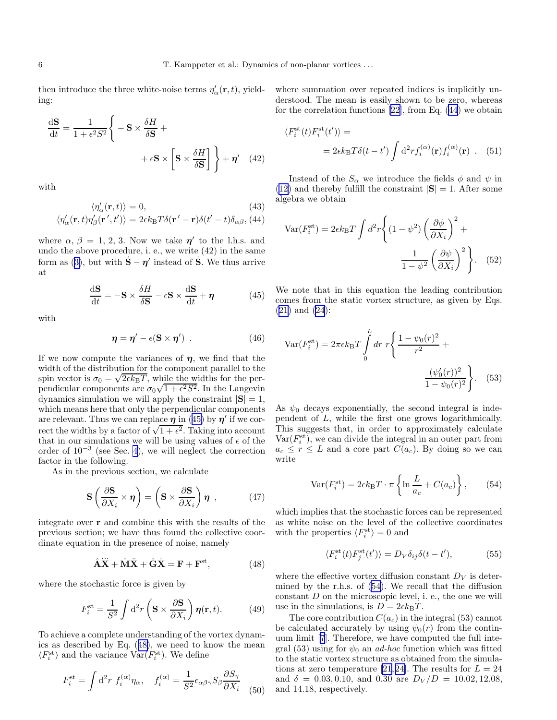<span id="page-5-0"></span>then introduce the three white-noise terms  $\eta'_{\alpha}(\mathbf{r},t)$ , yielding:

$$
\frac{\mathrm{d}\mathbf{S}}{\mathrm{d}t} = \frac{1}{1 + \epsilon^2 S^2} \left\{ -\mathbf{S} \times \frac{\delta H}{\delta \mathbf{S}} + \right.
$$

$$
+ \epsilon \mathbf{S} \times \left[ \mathbf{S} \times \frac{\delta H}{\delta \mathbf{S}} \right] \right\} + \eta' \quad (42)
$$

with

$$
\langle \eta_{\alpha}'(\mathbf{r},t) \rangle = 0, \qquad (43)
$$

$$
\langle \eta_{\alpha}'(\mathbf{r},t) \eta_{\beta}'(\mathbf{r}',t') \rangle = 2\epsilon k_{\text{B}} T \delta(\mathbf{r}'-\mathbf{r}) \delta(t'-t) \delta_{\alpha\beta}, (44)
$$

where  $\alpha$ ,  $\beta = 1, 2, 3$ . Now we take  $\eta'$  to the l.h.s. and undo the above procedure, i. e., we write (42) in the same form as ([3\)](#page-1-0), but with  $\dot{\mathbf{S}} - \eta'$  instead of  $\dot{\mathbf{S}}$ . We thus arrive at

$$
\frac{\mathrm{d}\mathbf{S}}{\mathrm{d}t} = -\mathbf{S} \times \frac{\delta H}{\delta \mathbf{S}} - \epsilon \mathbf{S} \times \frac{\mathrm{d}\mathbf{S}}{\mathrm{d}t} + \boldsymbol{\eta}
$$
(45)

with

$$
\eta = \eta' - \epsilon (S \times \eta') \tag{46}
$$

If we now compute the variances of  $\eta$ , we find that the width of the distribution for the component parallel to the spin vector is  $\sigma_0 = \sqrt{2\epsilon k_B T}$ , while the widths for the perpendicular components are  $\sigma_0\sqrt{1+\epsilon^2S^2}$ . In the Langevin dynamics simulation we will apply the constraint  $|S| = 1$ , which means here that only the perpendicular components are relevant. Thus we can replace  $\eta$  in (45) by  $\eta'$  if we correct the widths by a factor of  $\sqrt{1+\epsilon^2}$ . Taking into account that in our simulations we will be using values of  $\epsilon$  of the order of 10<sup>−</sup><sup>3</sup> (see Sec. [4](#page-7-0)), we will neglect the correction factor in the following.

As in the previous section, we calculate

$$
\mathbf{S}\left(\frac{\partial \mathbf{S}}{\partial X_i} \times \boldsymbol{\eta}\right) = \left(\mathbf{S} \times \frac{\partial \mathbf{S}}{\partial X_i}\right) \boldsymbol{\eta} \tag{47}
$$

integrate over r and combine this with the results of the previous section; we have thus found the collective coordinate equation in the presence of noise, namely

$$
\hat{\mathbf{A}}\ddot{\mathbf{X}} + \hat{\mathbf{M}}\dot{\mathbf{X}} + \hat{\mathbf{G}}\dot{\mathbf{X}} = \mathbf{F} + \mathbf{F}^{\text{st}},\tag{48}
$$

where the stochastic force is given by

$$
F_i^{\text{st}} = \frac{1}{S^2} \int \mathrm{d}^2 r \left( \mathbf{S} \times \frac{\partial \mathbf{S}}{\partial X_i} \right) \boldsymbol{\eta}(\mathbf{r}, t). \tag{49}
$$

To achieve a complete understanding of the vortex dynamics as described by Eq. (48), we need to know the mean  $\langle F_i^{\rm st} \rangle$  and the variance  $\text{Var}(F_i^{\rm st})$ . We define

$$
F_i^{\rm st} = \int d^2r \ f_i^{(\alpha)} \eta_\alpha, \quad f_i^{(\alpha)} = \frac{1}{S^2} \epsilon_{\alpha\beta\gamma} S_\beta \frac{\partial S_\gamma}{\partial X_i} \tag{50}
$$

where summation over repeated indices is implicitly understood. The mean is easily shown to be zero, whereas for the correlation functions[[22\]](#page-11-0), from Eq. (44) we obtain

$$
\langle F_i^{\rm st}(t) F_i^{\rm st}(t') \rangle =
$$
  
=  $2\epsilon k_{\rm B} T \delta(t - t') \int d^2 r f_i^{(\alpha)}(\mathbf{r}) f_i^{(\alpha)}(\mathbf{r})$ . (51)

Instead of the  $S_{\alpha}$  we introduce the fields  $\phi$  and  $\psi$  in ([12\)](#page-2-0) and thereby fulfill the constraint  $|S| = 1$ . After some algebra we obtain

$$
\text{Var}(F_i^{\text{st}}) = 2\epsilon k_{\text{B}}T \int d^2r \left\{ (1 - \psi^2) \left( \frac{\partial \phi}{\partial X_i} \right)^2 + \frac{1}{1 - \psi^2} \left( \frac{\partial \psi}{\partial X_i} \right)^2 \right\}. \quad (52)
$$

We note that in this equation the leading contribution comes from the static vortex structure, as given by Eqs. ([21\)](#page-3-0) and [\(24](#page-3-0)):

$$
\text{Var}(F_i^{\text{st}}) = 2\pi \epsilon k_{\text{B}} T \int_0^L dr \ r \left\{ \frac{1 - \psi_0(r)^2}{r^2} + \frac{(\psi_0'(r))^2}{1 - \psi_0(r)^2} \right\}.
$$
 (53)

As  $\psi_0$  decays exponentially, the second integral is independent of L, while the first one grows logarithmically. This suggests that, in order to approximately calculate  $Var(F_i^{\text{st}})$ , we can divide the integral in an outer part from  $a_c \leq r \leq L$  and a core part  $C(a_c)$ . By doing so we can write

$$
\text{Var}(F_i^{\text{st}}) = 2\epsilon k_{\text{B}} T \cdot \pi \left\{ \ln \frac{L}{a_c} + C(a_c) \right\},\qquad(54)
$$

which implies that the stochastic forces can be represented as white noise on the level of the collective coordinates with the properties  $\langle F_i^{\text{st}} \rangle = 0$  and

$$
\langle F_i^{\rm st}(t)F_j^{\rm st}(t')\rangle = D_V \delta_{ij}\delta(t-t'),\tag{55}
$$

where the effective vortex diffusion constant  $D_V$  is determined by the r.h.s. of (54). We recall that the diffusion constant  $D$  on the microscopic level, i. e., the one we will use in the simulations, is  $D = 2\epsilon k_{\rm B}T$ .

The core contribution  $C(a_c)$  in the integral (53) cannot be calculated accurately by using  $\psi_0(r)$  from the continuum limit [\[7](#page-11-0)]. Therefore, we have computed the full integral (53) using for  $\psi_0$  an *ad-hoc* function which was fitted to the static vortex structure as obtained from the simulationsat zero temperature [21, 24]. The results for  $L = 24$ and  $\delta = 0.03, 0.10,$  and 0.30 are  $D_V/D = 10.02, 12.08,$ and 14.18, respectively.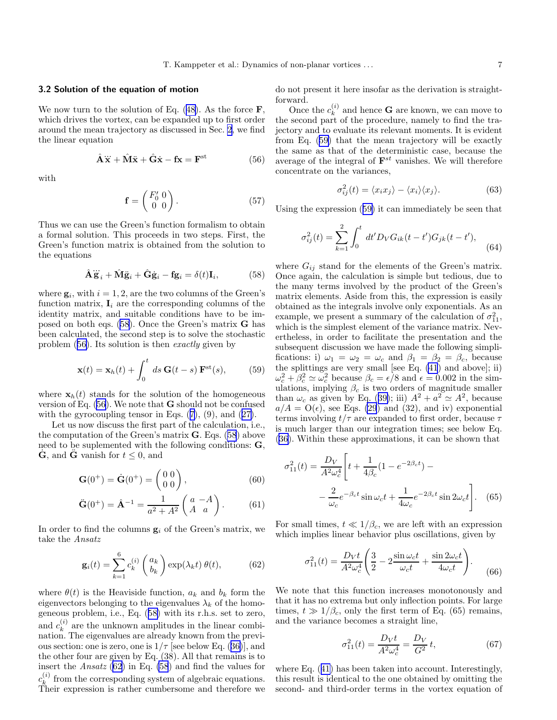## <span id="page-6-0"></span>3.2 Solution of the equation of motion

We now turn to the solution of Eq.  $(48)$  $(48)$ . As the force **F**, which drives the vortex, can be expanded up to first order around the mean trajectory as discussed in Sec. [2](#page-1-0), we find the linear equation

$$
\hat{\mathbf{A}}\ddot{\mathbf{x}} + \hat{\mathbf{M}}\ddot{\mathbf{x}} + \hat{\mathbf{G}}\dot{\mathbf{x}} - \mathbf{f}\mathbf{x} = \mathbf{F}^{\text{st}} \tag{56}
$$

with

$$
\mathbf{f} = \begin{pmatrix} F_0' & 0 \\ 0 & 0 \end{pmatrix} . \tag{57}
$$

Thus we can use the Green's function formalism to obtain a formal solution. This proceeds in two steps. First, the Green's function matrix is obtained from the solution to the equations

$$
\hat{\mathbf{A}}\ddot{\mathbf{g}}_i + \hat{\mathbf{M}}\ddot{\mathbf{g}}_i + \hat{\mathbf{G}}\dot{\mathbf{g}}_i - \mathbf{f}\mathbf{g}_i = \delta(t)\mathbf{I}_i, \tag{58}
$$

where  $\mathbf{g}_i$ , with  $i = 1, 2$ , are the two columns of the Green's function matrix,  $\mathbf{I}_i$  are the corresponding columns of the identity matrix, and suitable conditions have to be imposed on both eqs. (58). Once the Green's matrix G has been calculated, the second step is to solve the stochastic problem (56). Its solution is then exactly given by

$$
\mathbf{x}(t) = \mathbf{x}_h(t) + \int_0^t ds \, \mathbf{G}(t-s) \, \mathbf{F}^{\text{st}}(s), \tag{59}
$$

where  $\mathbf{x}_h(t)$  stands for the solution of the homogeneous version of Eq.  $(56)$ . We note that **G** should not be confused with the gyrocoupling tensor in Eqs.  $(7)$  $(7)$ ,  $(9)$ , and  $(27)$  $(27)$ .

Let us now discuss the first part of the calculation, i.e., the computation of the Green's matrix **. Eqs. (58) above** need to be suplemented with the following conditions: **,**  $\dot{\mathbf{G}}$ , and  $\ddot{\mathbf{G}}$  vanish for  $t \leq 0$ , and

$$
\mathbf{G}(0^+) = \dot{\mathbf{G}}(0^+) = \begin{pmatrix} 0 & 0 \\ 0 & 0 \end{pmatrix},\tag{60}
$$

$$
\ddot{\mathbf{G}}(0^{+}) = \hat{\mathbf{A}}^{-1} = \frac{1}{a^{2} + A^{2}} \begin{pmatrix} a - A \\ A & a \end{pmatrix}.
$$
 (61)

In order to find the columns  $g_i$  of the Green's matrix, we take the Ansatz

$$
\mathbf{g}_i(t) = \sum_{k=1}^6 c_k^{(i)} \begin{pmatrix} a_k \\ b_k \end{pmatrix} \exp(\lambda_k t) \theta(t), \tag{62}
$$

where  $\theta(t)$  is the Heaviside function,  $a_k$  and  $b_k$  form the eigenvectors belonging to the eigenvalues  $\lambda_k$  of the homogeneous problem, i.e., Eq. (58) with its r.h.s. set to zero, and  $c_k^{(i)}$  $\kappa^{(i)}$  are the unknown amplitudes in the linear combination. The eigenvalues are already known from the previous section: one is zero, one is  $1/\tau$  [see below Eq. ([36\)](#page-3-0)], and the other four are given by Eq. (38). All that remains is to insert the Ansatz (62) in Eq. (58) and find the values for  $c_k^{(i)}$  $\kappa$ <sup>(*i*</sup>) from the corresponding system of algebraic equations. Their expression is rather cumbersome and therefore we do not present it here insofar as the derivation is straightforward.

Once the  $c_k^{(i)}$  $\kappa^{(i)}$  and hence **G** are known, we can move to the second part of the procedure, namely to find the trajectory and to evaluate its relevant moments. It is evident from Eq. (59) that the mean trajectory will be exactly the same as that of the deterministic case, because the average of the integral of  $\mathbf{F}^{st}$  vanishes. We will therefore concentrate on the variances,

$$
\sigma_{ij}^2(t) = \langle x_i x_j \rangle - \langle x_i \rangle \langle x_j \rangle. \tag{63}
$$

Using the expression (59) it can immediately be seen that

$$
\sigma_{ij}^2(t) = \sum_{k=1}^2 \int_0^t dt' D_V G_{ik}(t - t') G_{jk}(t - t'),
$$
\n(64)

where  $G_{ij}$  stand for the elements of the Green's matrix. Once again, the calculation is simple but tedious, due to the many terms involved by the product of the Green's matrix elements. Aside from this, the expression is easily obtained as the integrals involve only exponentials. As an example, we present a summary of the calculation of  $\sigma_{11}^2$ , which is the simplest element of the variance matrix. Nevertheless, in order to facilitate the presentation and the subsequent discussion we have made the following simplifications: i)  $\omega_1 = \omega_2 = \omega_c$  and  $\beta_1 = \beta_2 = \beta_c$ , because the splittings are very small [see Eq. [\(41](#page-4-0)) and above]; ii)  $\omega_c^2 + \beta_c^2 \simeq \omega_c^2$  because  $\beta_c = \epsilon/8$  and  $\epsilon = 0.002$  in the simulations, implying  $\beta_c$  is two orders of magnitude smaller than  $\omega_c$  as given by Eq. ([39\)](#page-4-0); iii)  $A^2 + a^2 \simeq A^2$ , because  $a/A = O(\epsilon)$ , see Eqs. [\(29](#page-3-0)) and (32), and iv) exponential terms involving  $t/\tau$  are expanded to first order, because  $\tau$ is much larger than our integration times; see below Eq. ([36\)](#page-3-0). Within these approximations, it can be shown that

$$
\sigma_{11}^2(t) = \frac{D_V}{A^2 \omega_c^4} \left[ t + \frac{1}{4\beta_c} (1 - e^{-2\beta_c t}) - \frac{2}{\omega_c} e^{-\beta_c t} \sin \omega_c t + \frac{1}{4\omega_c} e^{-2\beta_c t} \sin 2\omega_c t \right].
$$
 (65)

For small times,  $t \ll 1/\beta_c$ , we are left with an expression which implies linear behavior plus oscillations, given by

$$
\sigma_{11}^2(t) = \frac{D_V t}{A^2 \omega_c^4} \left( \frac{3}{2} - 2 \frac{\sin \omega_c t}{\omega_c t} + \frac{\sin 2\omega_c t}{4\omega_c t} \right). \tag{66}
$$

We note that this function increases monotonously and that it has no extrema but only inflection points. For large times,  $t \gg 1/\beta_c$ , only the first term of Eq. (65) remains, and the variance becomes a straight line,

$$
\sigma_{11}^2(t) = \frac{D_V t}{A^2 \omega_c^4} = \frac{D_V}{G^2} t,\tag{67}
$$

where Eq. ([41\)](#page-4-0) has been taken into account. Interestingly, this result is identical to the one obtained by omitting the second- and third-order terms in the vortex equation of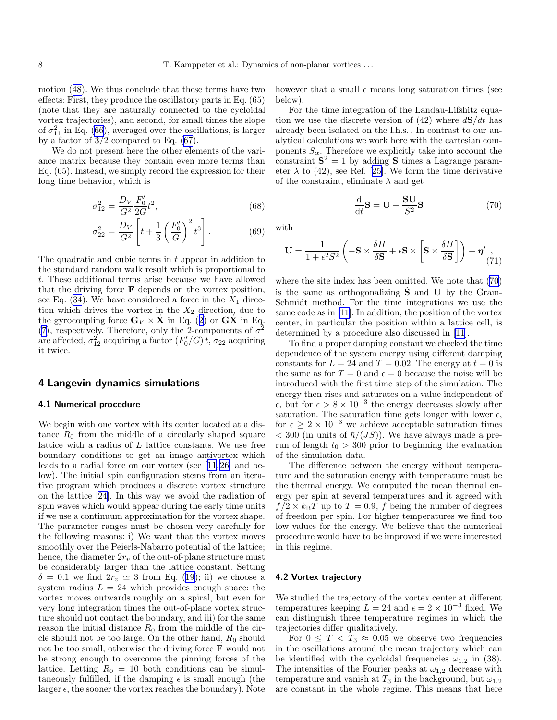<span id="page-7-0"></span>motion ([48\)](#page-5-0). We thus conclude that these terms have two effects: First, they produce the oscillatory parts in Eq. (65) (note that they are naturally connected to the cycloidal vortex trajectories), and second, for small times the slope of  $\sigma_{11}^2$  in Eq. ([66](#page-6-0)), averaged over the oscillations, is larger by a factor of  $3/2$  compared to Eq.  $(67)$  $(67)$ .

We do not present here the other elements of the variance matrix because they contain even more terms than Eq. (65). Instead, we simply record the expression for their long time behavior, which is

$$
\sigma_{12}^2 = \frac{D_V}{G^2} \frac{F_0'}{2G} t^2,\tag{68}
$$

$$
\sigma_{22}^2 = \frac{D_V}{G^2} \left[ t + \frac{1}{3} \left( \frac{F_0'}{G} \right)^2 t^3 \right].
$$
 (69)

The quadratic and cubic terms in t appear in addition to the standard random walk result which is proportional to t. These additional terms arise because we have allowed that the driving force  $\bf{F}$  depends on the vortex position, see Eq.  $(34)$  $(34)$ . We have considered a force in the  $X_1$  direction which drives the vortex in the  $X_2$  direction, due to the gyrocoupling force  $\mathbf{G}_V \times \mathbf{X}$  in Eq. ([2\)](#page-1-0) or  $\mathbf{G}\mathbf{X}$  in Eq. ([7](#page-2-0)), respectively. Therefore, only the 2-components of  $\sigma^2$ are affected,  $\sigma_{12}^2$  acquiring a factor  $(F_0'/G)$  t,  $\sigma_{22}$  acquiring it twice.

## 4 Langevin dynamics simulations

## 4.1 Numerical procedure

We begin with one vortex with its center located at a distance  $R_0$  from the middle of a circularly shaped square lattice with a radius of  $L$  lattice constants. We use free boundary conditions to get an image antivortex which leads to a radial force on our vortex (see [\[11](#page-11-0),[26\]](#page-11-0) and below). The initial spin configuration stems from an iterative program which produces a discrete vortex structure on the lattice[[24\]](#page-11-0). In this way we avoid the radiation of spin waves which would appear during the early time units if we use a continuum approximation for the vortex shape. The parameter ranges must be chosen very carefully for the following reasons: i) We want that the vortex moves smoothly over the Peierls-Nabarro potential of the lattice; hence, the diameter  $2r_v$  of the out-of-plane structure must be considerably larger than the lattice constant. Setting  $\delta = 0.1$  we find  $2r_v \simeq 3$  from Eq. ([19\)](#page-3-0); ii) we choose a system radius  $L = 24$  which provides enough space: the vortex moves outwards roughly on a spiral, but even for very long integration times the out-of-plane vortex structure should not contact the boundary, and iii) for the same reason the initial distance  $R_0$  from the middle of the circle should not be too large. On the other hand,  $R_0$  should not be too small; otherwise the driving force F would not be strong enough to overcome the pinning forces of the lattice. Letting  $R_0 = 10$  both conditions can be simultaneously fulfilled, if the damping  $\epsilon$  is small enough (the larger  $\epsilon$ , the sooner the vortex reaches the boundary). Note

however that a small  $\epsilon$  means long saturation times (see below).

For the time integration of the Landau-Lifshitz equation we use the discrete version of (42) where  $d\mathbf{S}/dt$  has already been isolated on the l.h.s. . In contrast to our analytical calculations we work here with the cartesian components  $S_{\alpha}$ . Therefore we explicitly take into account the constraint  $S^2 = 1$  by adding S times a Lagrange parameter  $\lambda$  to (42), see Ref. [\[25](#page-11-0)]. We form the time derivative of the constraint, eliminate  $\lambda$  and get

$$
\frac{\mathrm{d}}{\mathrm{d}t}\mathbf{S} = \mathbf{U} + \frac{\mathbf{S}\mathbf{U}}{S^2}\mathbf{S}
$$
 (70)

with

$$
\mathbf{U} = \frac{1}{1 + \epsilon^2 S^2} \left( -\mathbf{S} \times \frac{\delta H}{\delta \mathbf{S}} + \epsilon \mathbf{S} \times \left[ \mathbf{S} \times \frac{\delta H}{\delta \mathbf{S}} \right] \right) + \boldsymbol{\eta'} \Big|_{(71)}
$$

where the site index has been omitted. We note that (70) is the same as orthogonalizing  $\hat{S}$  and U by the Gram-Schmidt method. For the time integrations we use the same code as in[[11\]](#page-11-0). In addition, the position of the vortex center, in particular the position within a lattice cell, is determined by a procedure also discussed in [\[11\]](#page-11-0).

To find a proper damping constant we checked the time dependence of the system energy using different damping constants for  $L = 24$  and  $T = 0.02$ . The energy at  $t = 0$  is the same as for  $T = 0$  and  $\epsilon = 0$  because the noise will be introduced with the first time step of the simulation. The energy then rises and saturates on a value independent of  $\epsilon$ , but for  $\epsilon > 8 \times 10^{-3}$  the energy decreases slowly after saturation. The saturation time gets longer with lower  $\epsilon$ , for  $\epsilon \geq 2 \times 10^{-3}$  we achieve acceptable saturation times  $<$  300 (in units of  $\hbar/(JS)$ ). We have always made a prerun of length  $t_0 > 300$  prior to beginning the evaluation of the simulation data.

The difference between the energy without temperature and the saturation energy with temperature must be the thermal energy. We computed the mean thermal energy per spin at several temperatures and it agreed with  $f/2 \times k_BT$  up to  $T = 0.9$ , f being the number of degrees of freedom per spin. For higher temperatures we find too low values for the energy. We believe that the numerical procedure would have to be improved if we were interested in this regime.

#### 4.2 Vortex trajectory

We studied the trajectory of the vortex center at different temperatures keeping  $L = 24$  and  $\epsilon = 2 \times 10^{-3}$  fixed. We can distinguish three temperature regimes in which the trajectories differ qualitatively.

For  $0 \leq T < T_3 \approx 0.05$  we observe two frequencies in the oscillations around the mean trajectory which can be identified with the cycloidal frequencies  $\omega_{1,2}$  in (38). The intensities of the Fourier peaks at  $\omega_{1,2}$  decrease with temperature and vanish at  $T_3$  in the background, but  $\omega_{1,2}$ are constant in the whole regime. This means that here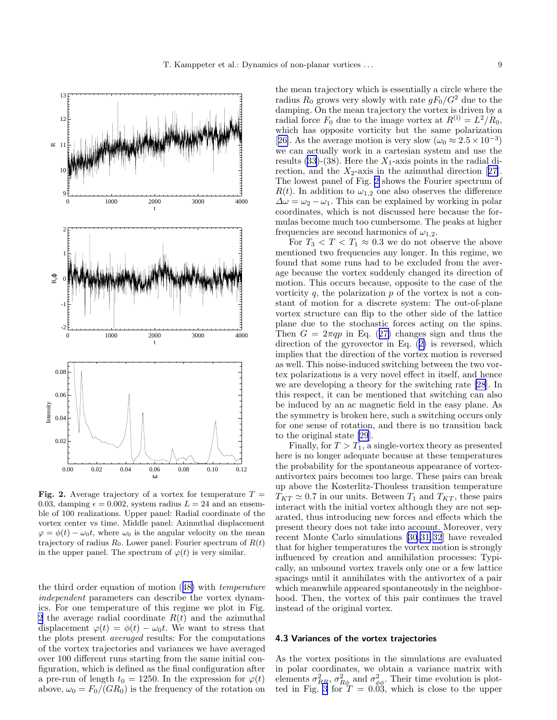<span id="page-8-0"></span>

Fig. 2. Average trajectory of a vortex for temperature  $T =$ 0.03, damping  $\epsilon = 0.002$ , system radius  $L = 24$  and an ensemble of 100 realizations. Upper panel: Radial coordinate of the vortex center vs time. Middle panel: Azimuthal displacement  $\varphi = \phi(t) - \omega_0 t$ , where  $\omega_0$  is the angular velocity on the mean trajectory of radius  $R_0$ . Lower panel: Fourier spectrum of  $R(t)$ in the upper panel. The spectrum of  $\varphi(t)$  is very similar.

the third order equation of motion ([48\)](#page-5-0) with temperature independent parameters can describe the vortex dynamics. For one temperature of this regime we plot in Fig. 2 the average radial coordinate  $R(t)$  and the azimuthal displacement  $\varphi(t) = \phi(t) - \omega_0 t$ . We want to stress that the plots present averaged results: For the computations of the vortex trajectories and variances we have averaged over 100 different runs starting from the same initial configuration, which is defined as the final configuration after a pre-run of length  $t_0 = 1250$ . In the expression for  $\varphi(t)$ above,  $\omega_0 = F_0/(GR_0)$  is the frequency of the rotation on

the mean trajectory which is essentially a circle where the radius  $R_0$  grows very slowly with rate  $gF_0/G^2$  due to the damping. On the mean trajectory the vortex is driven by a radial force  $F_0$  due to the image vortex at  $R^{(i)} = L^2/R_0$ , which has opposite vorticity but the same polarization [[26\]](#page-11-0). As the average motion is very slow  $(\omega_0 \approx 2.5 \times 10^{-3})$ we can actually work in a cartesian system and use the results [\(33](#page-3-0))-(38). Here the  $X_1$ -axis points in the radial direction,and the  $X_2$ -axis in the azimuthal direction [[27\]](#page-11-0). The lowest panel of Fig. 2 shows the Fourier spectrum of  $R(t)$ . In addition to  $\omega_{1,2}$  one also observes the difference  $\Delta\omega = \omega_2 - \omega_1$ . This can be explained by working in polar coordinates, which is not discussed here because the formulas become much too cumbersome. The peaks at higher frequencies are second harmonics of  $\omega_{1,2}$ .

For  $T_3 < T < T_1 \approx 0.3$  we do not observe the above mentioned two frequencies any longer. In this regime, we found that some runs had to be excluded from the average because the vortex suddenly changed its direction of motion. This occurs because, opposite to the case of the vorticity  $q$ , the polarization  $p$  of the vortex is not a constant of motion for a discrete system: The out-of-plane vortex structure can flip to the other side of the lattice plane due to the stochastic forces acting on the spins. Then  $G = 2\pi qp$  in Eq. ([27\)](#page-3-0) changes sign and thus the direction of the gyrovector in Eq. ([2\)](#page-1-0) is reversed, which implies that the direction of the vortex motion is reversed as well. This noise-induced switching between the two vortex polarizations is a very novel effect in itself, and hence we are developing a theory for the switching rate [\[28](#page-11-0)]. In this respect, it can be mentioned that switching can also be induced by an ac magnetic field in the easy plane. As the symmetry is broken here, such a switching occurs only for one sense of rotation, and there is no transition back to the original state [\[29](#page-11-0)].

Finally, for  $T > T_1$ , a single-vortex theory as presented here is no longer adequate because at these temperatures the probability for the spontaneous appearance of vortexantivortex pairs becomes too large. These pairs can break up above the Kosterlitz-Thouless transition temperature  $T_{KT} \simeq 0.7$  in our units. Between  $T_1$  and  $T_{KT}$ , these pairs interact with the initial vortex although they are not separated, thus introducing new forces and effects which the present theory does not take into account. Moreover, very recent Monte Carlo simulations[[30,31,32](#page-11-0)] have revealed that for higher temperatures the vortex motion is strongly influenced by creation and annihilation processes: Typically, an unbound vortex travels only one or a few lattice spacings until it annihilates with the antivortex of a pair which meanwhile appeared spontaneously in the neighborhood. Then, the vortex of this pair continues the travel instead of the original vortex.

#### 4.3 Variances of the vortex trajectories

As the vortex positions in the simulations are evaluated in polar coordinates, we obtain a variance matrix with elements  $\sigma_{RR}^2$ ,  $\sigma_{R\phi}^2$  and  $\sigma_{\phi\phi}^2$ . Their time evolution is plot-ted in Fig. [3](#page-9-0) for  $T = 0.03$ , which is close to the upper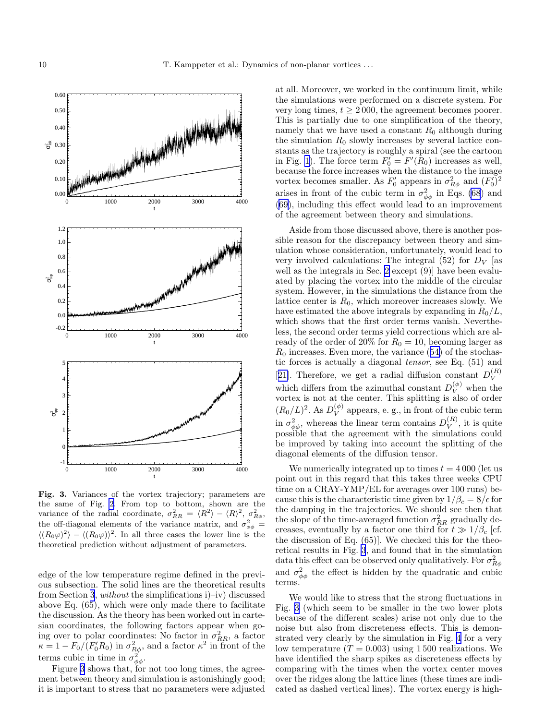<span id="page-9-0"></span>

Fig. 3. Variances of the vortex trajectory; parameters are the same of Fig. [2](#page-8-0). From top to bottom, shown are the variance of the radial coordinate,  $\sigma_{RR}^2 = \langle R^2 \rangle - \langle R \rangle^2$ ,  $\sigma_{R\phi}^2$ , the off-diagonal elements of the variance matrix, and  $\sigma_{\phi\phi}^2 =$  $\langle (R_0\varphi)^2 \rangle - \langle (R_0\varphi) \rangle^2$ . In all three cases the lower line is the theoretical prediction without adjustment of parameters.

edge of the low temperature regime defined in the previous subsection. The solid lines are the theoretical results from Section [3](#page-4-0), without the simplifications i)–iv) discussed above Eq. (65), which were only made there to facilitate the discussion. As the theory has been worked out in cartesian coordinates, the following factors appear when going over to polar coordinates: No factor in  $\sigma_{RR}^2$ , a factor  $\kappa = 1 - F_0 / (F_0' R_0)$  in  $\sigma_{R\phi}^2$ , and a factor  $\kappa^2$  in front of the terms cubic in time in  $\sigma_{\phi\phi}^2$ .

Figure 3 shows that, for not too long times, the agreement between theory and simulation is astonishingly good; it is important to stress that no parameters were adjusted at all. Moreover, we worked in the continuum limit, while the simulations were performed on a discrete system. For very long times,  $t \geq 2000$ , the agreement becomes poorer. This is partially due to one simplification of the theory, namely that we have used a constant  $R_0$  although during the simulation  $R_0$  slowly increases by several lattice constants as the trajectory is roughly a spiral (see the cartoon in Fig. [1](#page-4-0)). The force term  $F'_0 = F'(R_0)$  increases as well, because the force increases when the distance to the image vortex becomes smaller. As  $F'_0$  appears in  $\sigma_{R\phi}^2$  and  $(F'_0)^2$ arises in front of the cubic term in  $\sigma_{\phi\phi}^2$  in Eqs. [\(68](#page-7-0)) and ([69\)](#page-7-0), including this effect would lead to an improvement of the agreement between theory and simulations.

Aside from those discussed above, there is another possible reason for the discrepancy between theory and simulation whose consideration, unfortunately, would lead to very involved calculations: The integral  $(52)$  for  $D_V$  [as well as the integrals in Sec. [2](#page-1-0) except (9)] have been evaluated by placing the vortex into the middle of the circular system. However, in the simulations the distance from the lattice center is  $R_0$ , which moreover increases slowly. We have estimated the above integrals by expanding in  $R_0/L$ , which shows that the first order terms vanish. Nevertheless, the second order terms yield corrections which are already of the order of 20% for  $R_0 = 10$ , becoming larger as  $R_0$  increases. Even more, the variance  $(54)$  $(54)$  of the stochastic forces is actually a diagonal tensor, see Eq. (51) and [[21\]](#page-11-0). Therefore, we get a radial diffusion constant  $D_V^{(R)}$ V which differs from the azimuthal constant  $D_V^{(\phi)}$  when the vortex is not at the center. This splitting is also of order  $(R_0/L)^2$ . As  $D_V^{(\phi)}$  appears, e. g., in front of the cubic term in  $\sigma_{\phi\phi}^2$ , whereas the linear term contains  $D_V^{(R)}$  $V(N)$ , it is quite possible that the agreement with the simulations could be improved by taking into account the splitting of the diagonal elements of the diffusion tensor.

We numerically integrated up to times  $t = 4000$  (let us point out in this regard that this takes three weeks CPU time on a CRAY-YMP/EL for averages over 100 runs) because this is the characteristic time given by  $1/\beta_c = 8/\epsilon$  for the damping in the trajectories. We should see then that the slope of the time-averaged function  $\sigma_{RR}^2$  gradually decreases, eventually by a factor one third for  $t \gg 1/\beta_c$  [cf. the discussion of Eq. (65)]. We checked this for the theoretical results in Fig. 3, and found that in the simulation data this effect can be observed only qualitatively. For  $\sigma_{R\phi}^2$ and  $\sigma_{\phi\phi}^2$  the effect is hidden by the quadratic and cubic terms.

We would like to stress that the strong fluctuations in Fig. 3 (which seem to be smaller in the two lower plots because of the different scales) arise not only due to the noise but also from discreteness effects. This is demonstrated very clearly by the simulation in Fig. [4](#page-10-0) for a very low temperature  $(T = 0.003)$  using 1500 realizations. We have identified the sharp spikes as discreteness effects by comparing with the times when the vortex center moves over the ridges along the lattice lines (these times are indicated as dashed vertical lines). The vortex energy is high-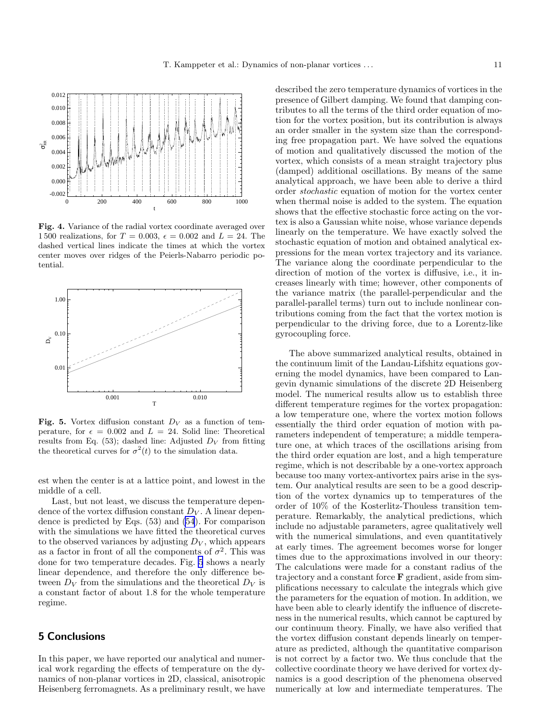<span id="page-10-0"></span>

Fig. 4. Variance of the radial vortex coordinate averaged over 1500 realizations, for  $T = 0.003$ ,  $\epsilon = 0.002$  and  $L = 24$ . The dashed vertical lines indicate the times at which the vortex center moves over ridges of the Peierls-Nabarro periodic potential.



Fig. 5. Vortex diffusion constant  $D_V$  as a function of temperature, for  $\epsilon = 0.002$  and  $L = 24$ . Solid line: Theoretical results from Eq.  $(53)$ ; dashed line: Adjusted  $D_V$  from fitting the theoretical curves for  $\sigma^2(t)$  to the simulation data.

est when the center is at a lattice point, and lowest in the middle of a cell.

Last, but not least, we discuss the temperature dependence of the vortex diffusion constant  $D_V$ . A linear dependence is predicted by Eqs. (53) and [\(54](#page-5-0)). For comparison with the simulations we have fitted the theoretical curves to the observed variances by adjusting  $D_V$ , which appears as a factor in front of all the components of  $\sigma^2$ . This was done for two temperature decades. Fig. 5 shows a nearly linear dependence, and therefore the only difference between  $D_V$  from the simulations and the theoretical  $D_V$  is a constant factor of about 1.8 for the whole temperature regime.

# 5 Conclusions

In this paper, we have reported our analytical and numerical work regarding the effects of temperature on the dynamics of non-planar vortices in 2D, classical, anisotropic Heisenberg ferromagnets. As a preliminary result, we have described the zero temperature dynamics of vortices in the presence of Gilbert damping. We found that damping contributes to all the terms of the third order equation of motion for the vortex position, but its contribution is always an order smaller in the system size than the corresponding free propagation part. We have solved the equations of motion and qualitatively discussed the motion of the vortex, which consists of a mean straight trajectory plus (damped) additional oscillations. By means of the same analytical approach, we have been able to derive a third order stochastic equation of motion for the vortex center when thermal noise is added to the system. The equation shows that the effective stochastic force acting on the vortex is also a Gaussian white noise, whose variance depends linearly on the temperature. We have exactly solved the stochastic equation of motion and obtained analytical expressions for the mean vortex trajectory and its variance. The variance along the coordinate perpendicular to the direction of motion of the vortex is diffusive, i.e., it increases linearly with time; however, other components of the variance matrix (the parallel-perpendicular and the parallel-parallel terms) turn out to include nonlinear contributions coming from the fact that the vortex motion is perpendicular to the driving force, due to a Lorentz-like gyrocoupling force.

The above summarized analytical results, obtained in the continuum limit of the Landau-Lifshitz equations governing the model dynamics, have been compared to Langevin dynamic simulations of the discrete 2D Heisenberg model. The numerical results allow us to establish three different temperature regimes for the vortex propagation: a low temperature one, where the vortex motion follows essentially the third order equation of motion with parameters independent of temperature; a middle temperature one, at which traces of the oscillations arising from the third order equation are lost, and a high temperature regime, which is not describable by a one-vortex approach because too many vortex-antivortex pairs arise in the system. Our analytical results are seen to be a good description of the vortex dynamics up to temperatures of the order of 10% of the Kosterlitz-Thouless transition temperature. Remarkably, the analytical predictions, which include no adjustable parameters, agree qualitatively well with the numerical simulations, and even quantitatively at early times. The agreement becomes worse for longer times due to the approximations involved in our theory: The calculations were made for a constant radius of the trajectory and a constant force F gradient, aside from simplifications necessary to calculate the integrals which give the parameters for the equation of motion. In addition, we have been able to clearly identify the influence of discreteness in the numerical results, which cannot be captured by our continuum theory. Finally, we have also verified that the vortex diffusion constant depends linearly on temperature as predicted, although the quantitative comparison is not correct by a factor two. We thus conclude that the collective coordinate theory we have derived for vortex dynamics is a good description of the phenomena observed numerically at low and intermediate temperatures. The